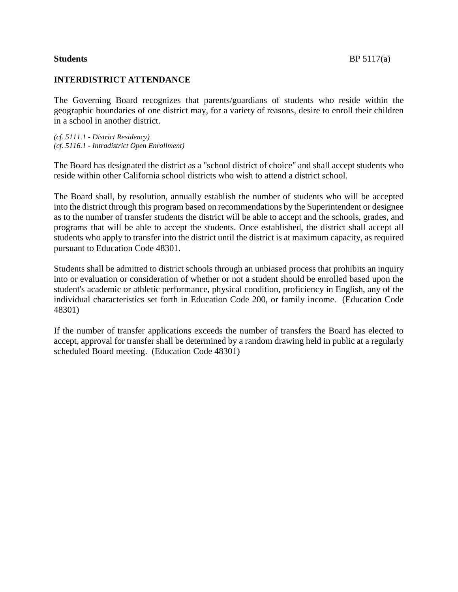# **INTERDISTRICT ATTENDANCE**

The Governing Board recognizes that parents/guardians of students who reside within the geographic boundaries of one district may, for a variety of reasons, desire to enroll their children in a school in another district.

*(cf. 5111.1 - District Residency) (cf. 5116.1 - Intradistrict Open Enrollment)*

The Board has designated the district as a "school district of choice" and shall accept students who reside within other California school districts who wish to attend a district school.

The Board shall, by resolution, annually establish the number of students who will be accepted into the district through this program based on recommendations by the Superintendent or designee as to the number of transfer students the district will be able to accept and the schools, grades, and programs that will be able to accept the students. Once established, the district shall accept all students who apply to transfer into the district until the district is at maximum capacity, as required pursuant to Education Code 48301.

Students shall be admitted to district schools through an unbiased process that prohibits an inquiry into or evaluation or consideration of whether or not a student should be enrolled based upon the student's academic or athletic performance, physical condition, proficiency in English, any of the individual characteristics set forth in Education Code 200, or family income. (Education Code 48301)

If the number of transfer applications exceeds the number of transfers the Board has elected to accept, approval for transfer shall be determined by a random drawing held in public at a regularly scheduled Board meeting. (Education Code 48301)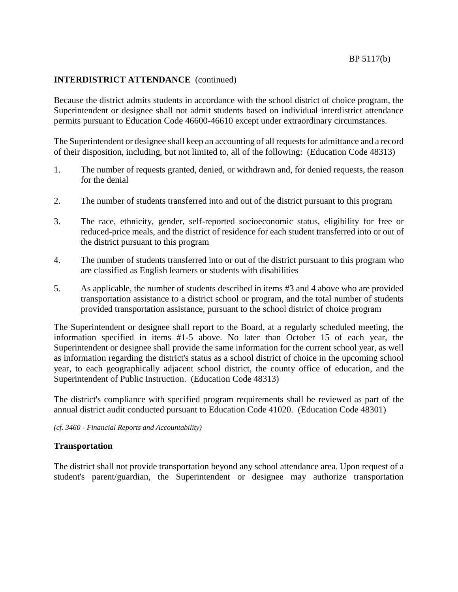### **INTERDISTRICT ATTENDANCE** (continued)

Because the district admits students in accordance with the school district of choice program, the Superintendent or designee shall not admit students based on individual interdistrict attendance permits pursuant to Education Code 46600-46610 except under extraordinary circumstances.

The Superintendent or designee shall keep an accounting of all requests for admittance and a record of their disposition, including, but not limited to, all of the following: (Education Code 48313)

- 1. The number of requests granted, denied, or withdrawn and, for denied requests, the reason for the denial
- 2. The number of students transferred into and out of the district pursuant to this program
- 3. The race, ethnicity, gender, self-reported socioeconomic status, eligibility for free or reduced-price meals, and the district of residence for each student transferred into or out of the district pursuant to this program
- 4. The number of students transferred into or out of the district pursuant to this program who are classified as English learners or students with disabilities
- 5. As applicable, the number of students described in items #3 and 4 above who are provided transportation assistance to a district school or program, and the total number of students provided transportation assistance, pursuant to the school district of choice program

The Superintendent or designee shall report to the Board, at a regularly scheduled meeting, the information specified in items #1-5 above. No later than October 15 of each year, the Superintendent or designee shall provide the same information for the current school year, as well as information regarding the district's status as a school district of choice in the upcoming school year, to each geographically adjacent school district, the county office of education, and the Superintendent of Public Instruction. (Education Code 48313)

The district's compliance with specified program requirements shall be reviewed as part of the annual district audit conducted pursuant to Education Code 41020. (Education Code 48301)

*(cf. 3460 - Financial Reports and Accountability)*

# **Transportation**

The district shall not provide transportation beyond any school attendance area. Upon request of a student's parent/guardian, the Superintendent or designee may authorize transportation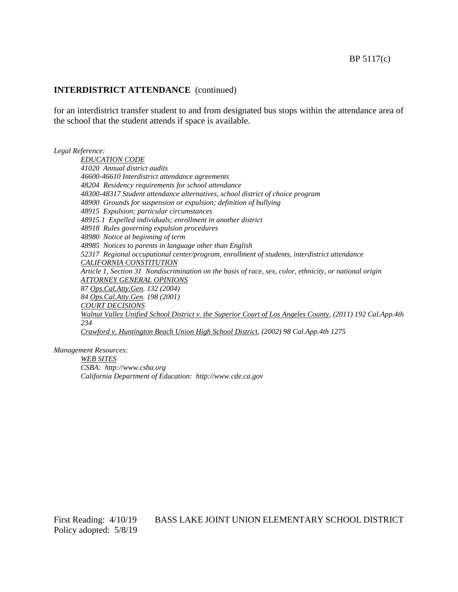#### **INTERDISTRICT ATTENDANCE** (continued)

for an interdistrict transfer student to and from designated bus stops within the attendance area of the school that the student attends if space is available.

*Legal Reference:*

*EDUCATION CODE 41020 Annual district audits 46600-46610 Interdistrict attendance agreements 48204 Residency requirements for school attendance 48300-48317 Student attendance alternatives, school district of choice program 48900 Grounds for suspension or expulsion; definition of bullying 48915 Expulsion; particular circumstances 48915.1 Expelled individuals; enrollment in another district 48918 Rules governing expulsion procedures 48980 Notice at beginning of term 48985 Notices to parents in language other than English 52317 Regional occupational center/program, enrollment of students, interdistrict attendance CALIFORNIA CONSTITUTION Article 1, Section 31 Nondiscrimination on the basis of race, sex, color, ethnicity, or national origin ATTORNEY GENERAL OPINIONS 87 Ops.Cal.Atty.Gen. 132 (2004) 84 Ops.Cal.Atty.Gen. 198 (2001) COURT DECISIONS Walnut Valley Unified School District v. the Superior Court of Los Angeles County, (2011) 192 Cal.App.4th 234 Crawford v. Huntington Beach Union High School District, (2002) 98 Cal.App.4th 1275*

*Management Resources:*

*WEB SITES CSBA: http://www.csba.org California Department of Education: http://www.cde.ca.gov*

Policy adopted: 5/8/19

# First Reading: 4/10/19 BASS LAKE JOINT UNION ELEMENTARY SCHOOL DISTRICT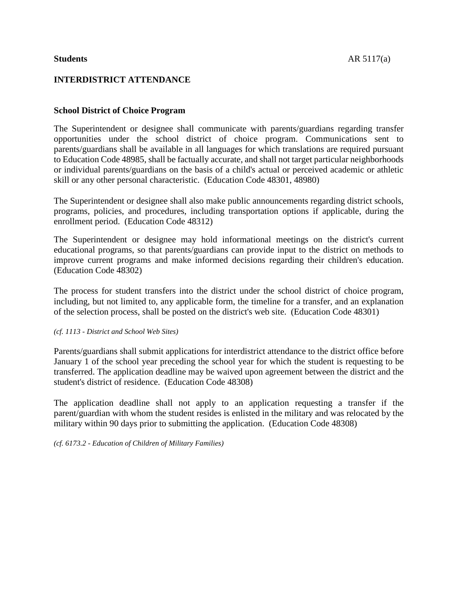# **INTERDISTRICT ATTENDANCE**

### **School District of Choice Program**

The Superintendent or designee shall communicate with parents/guardians regarding transfer opportunities under the school district of choice program. Communications sent to parents/guardians shall be available in all languages for which translations are required pursuant to Education Code 48985, shall be factually accurate, and shall not target particular neighborhoods or individual parents/guardians on the basis of a child's actual or perceived academic or athletic skill or any other personal characteristic. (Education Code 48301, 48980)

The Superintendent or designee shall also make public announcements regarding district schools, programs, policies, and procedures, including transportation options if applicable, during the enrollment period. (Education Code 48312)

The Superintendent or designee may hold informational meetings on the district's current educational programs, so that parents/guardians can provide input to the district on methods to improve current programs and make informed decisions regarding their children's education. (Education Code 48302)

The process for student transfers into the district under the school district of choice program, including, but not limited to, any applicable form, the timeline for a transfer, and an explanation of the selection process, shall be posted on the district's web site. (Education Code 48301)

*(cf. 1113 - District and School Web Sites)*

Parents/guardians shall submit applications for interdistrict attendance to the district office before January 1 of the school year preceding the school year for which the student is requesting to be transferred. The application deadline may be waived upon agreement between the district and the student's district of residence. (Education Code 48308)

The application deadline shall not apply to an application requesting a transfer if the parent/guardian with whom the student resides is enlisted in the military and was relocated by the military within 90 days prior to submitting the application. (Education Code 48308)

*(cf. 6173.2 - Education of Children of Military Families)*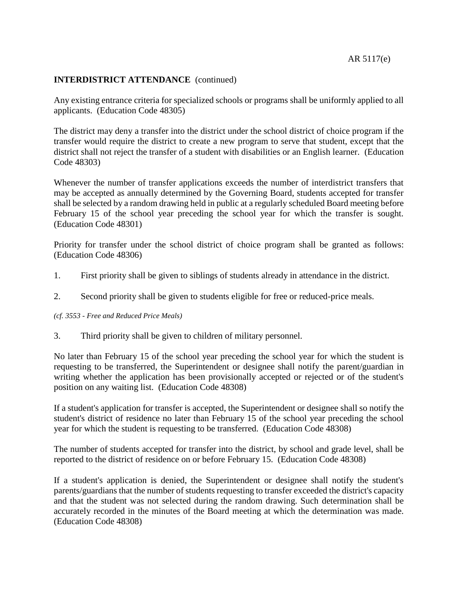### AR 5117(e)

#### **INTERDISTRICT ATTENDANCE** (continued)

Any existing entrance criteria for specialized schools or programs shall be uniformly applied to all applicants. (Education Code 48305)

The district may deny a transfer into the district under the school district of choice program if the transfer would require the district to create a new program to serve that student, except that the district shall not reject the transfer of a student with disabilities or an English learner. (Education Code 48303)

Whenever the number of transfer applications exceeds the number of interdistrict transfers that may be accepted as annually determined by the Governing Board, students accepted for transfer shall be selected by a random drawing held in public at a regularly scheduled Board meeting before February 15 of the school year preceding the school year for which the transfer is sought. (Education Code 48301)

Priority for transfer under the school district of choice program shall be granted as follows: (Education Code 48306)

- 1. First priority shall be given to siblings of students already in attendance in the district.
- 2. Second priority shall be given to students eligible for free or reduced-price meals.

#### *(cf. 3553 - Free and Reduced Price Meals)*

3. Third priority shall be given to children of military personnel.

No later than February 15 of the school year preceding the school year for which the student is requesting to be transferred, the Superintendent or designee shall notify the parent/guardian in writing whether the application has been provisionally accepted or rejected or of the student's position on any waiting list. (Education Code 48308)

If a student's application for transfer is accepted, the Superintendent or designee shall so notify the student's district of residence no later than February 15 of the school year preceding the school year for which the student is requesting to be transferred. (Education Code 48308)

The number of students accepted for transfer into the district, by school and grade level, shall be reported to the district of residence on or before February 15. (Education Code 48308)

If a student's application is denied, the Superintendent or designee shall notify the student's parents/guardians that the number of students requesting to transfer exceeded the district's capacity and that the student was not selected during the random drawing. Such determination shall be accurately recorded in the minutes of the Board meeting at which the determination was made. (Education Code 48308)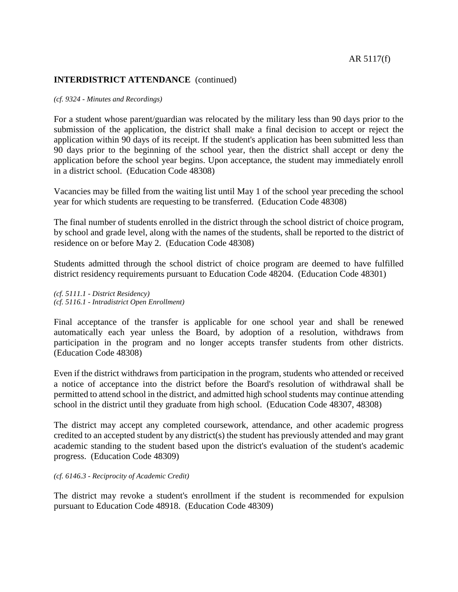#### AR 5117(f)

#### **INTERDISTRICT ATTENDANCE** (continued)

#### *(cf. 9324 - Minutes and Recordings)*

For a student whose parent/guardian was relocated by the military less than 90 days prior to the submission of the application, the district shall make a final decision to accept or reject the application within 90 days of its receipt. If the student's application has been submitted less than 90 days prior to the beginning of the school year, then the district shall accept or deny the application before the school year begins. Upon acceptance, the student may immediately enroll in a district school. (Education Code 48308)

Vacancies may be filled from the waiting list until May 1 of the school year preceding the school year for which students are requesting to be transferred. (Education Code 48308)

The final number of students enrolled in the district through the school district of choice program, by school and grade level, along with the names of the students, shall be reported to the district of residence on or before May 2. (Education Code 48308)

Students admitted through the school district of choice program are deemed to have fulfilled district residency requirements pursuant to Education Code 48204. (Education Code 48301)

*(cf. 5111.1 - District Residency) (cf. 5116.1 - Intradistrict Open Enrollment)*

Final acceptance of the transfer is applicable for one school year and shall be renewed automatically each year unless the Board, by adoption of a resolution, withdraws from participation in the program and no longer accepts transfer students from other districts. (Education Code 48308)

Even if the district withdraws from participation in the program, students who attended or received a notice of acceptance into the district before the Board's resolution of withdrawal shall be permitted to attend school in the district, and admitted high school students may continue attending school in the district until they graduate from high school. (Education Code 48307, 48308)

The district may accept any completed coursework, attendance, and other academic progress credited to an accepted student by any district(s) the student has previously attended and may grant academic standing to the student based upon the district's evaluation of the student's academic progress. (Education Code 48309)

#### *(cf. 6146.3 - Reciprocity of Academic Credit)*

The district may revoke a student's enrollment if the student is recommended for expulsion pursuant to Education Code 48918. (Education Code 48309)